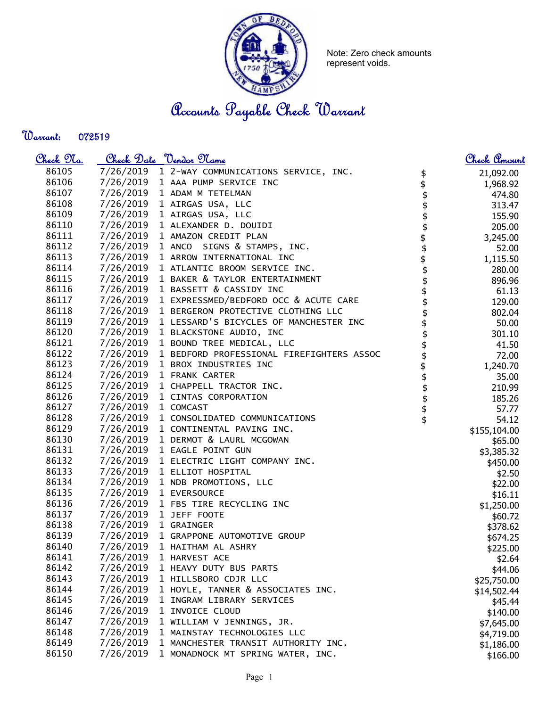

Note: Zero check amounts represent voids.

Accounts Payable Check Warrant

Warrant: 

| <u>Check 97a.</u> |           | Check Date <u>Vendor Name</u>                  |                             | <u>Check Amount</u> |
|-------------------|-----------|------------------------------------------------|-----------------------------|---------------------|
| 86105             |           | 7/26/2019 1 2-WAY COMMUNICATIONS SERVICE, INC. | \$                          | 21,092.00           |
| 86106             | 7/26/2019 | 1 AAA PUMP SERVICE INC                         | $\frac{1}{2}$               | 1,968.92            |
| 86107             | 7/26/2019 | 1 ADAM M TETELMAN                              |                             | 474.80              |
| 86108             | 7/26/2019 | 1 AIRGAS USA, LLC                              | \$                          | 313.47              |
| 86109             | 7/26/2019 | 1 AIRGAS USA, LLC                              | \$                          | 155.90              |
| 86110             | 7/26/2019 | 1 ALEXANDER D. DOUIDI                          | \$                          | 205.00              |
| 86111             | 7/26/2019 | 1 AMAZON CREDIT PLAN                           |                             | 3,245.00            |
| 86112             | 7/26/2019 | 1 ANCO SIGNS & STAMPS, INC.                    | \$\$\$\$\$\$\$\$            | 52.00               |
| 86113             | 7/26/2019 | 1 ARROW INTERNATIONAL INC                      |                             | 1,115.50            |
| 86114             | 7/26/2019 | 1 ATLANTIC BROOM SERVICE INC.                  |                             | 280.00              |
| 86115             | 7/26/2019 | 1 BAKER & TAYLOR ENTERTAINMENT                 |                             | 896.96              |
| 86116             | 7/26/2019 | 1 BASSETT & CASSIDY INC                        |                             | 61.13               |
| 86117             | 7/26/2019 | 1 EXPRESSMED/BEDFORD OCC & ACUTE CARE          |                             | 129.00              |
| 86118             | 7/26/2019 | 1 BERGERON PROTECTIVE CLOTHING LLC             |                             | 802.04              |
| 86119             | 7/26/2019 | 1 LESSARD'S BICYCLES OF MANCHESTER INC         |                             | 50.00               |
| 86120             | 7/26/2019 | 1 BLACKSTONE AUDIO, INC                        |                             | 301.10              |
| 86121             | 7/26/2019 | 1 BOUND TREE MEDICAL, LLC                      |                             | 41.50               |
| 86122             | 7/26/2019 | 1 BEDFORD PROFESSIONAL FIREFIGHTERS ASSOC      |                             | 72.00               |
| 86123             | 7/26/2019 | 1 BROX INDUSTRIES INC                          |                             | 1,240.70            |
| 86124             | 7/26/2019 | 1 FRANK CARTER                                 |                             | 35.00               |
| 86125             | 7/26/2019 | 1 CHAPPELL TRACTOR INC.                        |                             | 210.99              |
| 86126             | 7/26/2019 | 1 CINTAS CORPORATION                           |                             | 185.26              |
| 86127             | 7/26/2019 | 1 COMCAST                                      | <b>\$\$\$\$\$\$\$\$\$\$</b> | 57.77               |
| 86128             | 7/26/2019 | 1 CONSOLIDATED COMMUNICATIONS                  |                             | 54.12               |
| 86129             | 7/26/2019 | 1 CONTINENTAL PAVING INC.                      |                             | \$155,104.00        |
| 86130             | 7/26/2019 | 1 DERMOT & LAURL MCGOWAN                       |                             | \$65.00             |
| 86131             | 7/26/2019 | 1 EAGLE POINT GUN                              |                             | \$3,385.32          |
| 86132             | 7/26/2019 | 1 ELECTRIC LIGHT COMPANY INC.                  |                             | \$450.00            |
| 86133             | 7/26/2019 | 1 ELLIOT HOSPITAL                              |                             | \$2.50              |
| 86134             | 7/26/2019 | 1 NDB PROMOTIONS, LLC                          |                             | \$22.00             |
| 86135             | 7/26/2019 | 1 EVERSOURCE                                   |                             | \$16.11             |
| 86136             | 7/26/2019 | 1 FBS TIRE RECYCLING INC                       |                             | \$1,250.00          |
| 86137             | 7/26/2019 | 1 JEFF FOOTE                                   |                             | \$60.72             |
| 86138             | 7/26/2019 | 1 GRAINGER                                     |                             | \$378.62            |
| 86139             | 7/26/2019 | 1 GRAPPONE AUTOMOTIVE GROUP                    |                             | \$674.25            |
| 86140             | 7/26/2019 | 1 HAITHAM AL ASHRY                             |                             | \$225.00            |
| 86141             | 7/26/2019 | 1 HARVEST ACE                                  |                             | \$2.64              |
| 86142             | 7/26/2019 | 1 HEAVY DUTY BUS PARTS                         |                             | \$44.06             |
| 86143             | 7/26/2019 | 1 HILLSBORO CDJR LLC                           |                             | \$25,750.00         |
| 86144             | 7/26/2019 | 1 HOYLE, TANNER & ASSOCIATES INC.              |                             | \$14,502.44         |
| 86145             | 7/26/2019 | 1 INGRAM LIBRARY SERVICES                      |                             | \$45.44             |
| 86146             | 7/26/2019 | 1 INVOICE CLOUD                                |                             | \$140.00            |
| 86147             | 7/26/2019 | 1 WILLIAM V JENNINGS, JR.                      |                             | \$7,645.00          |
| 86148             | 7/26/2019 | 1 MAINSTAY TECHNOLOGIES LLC                    |                             | \$4,719.00          |
| 86149             | 7/26/2019 | 1 MANCHESTER TRANSIT AUTHORITY INC.            |                             | \$1,186.00          |
| 86150             | 7/26/2019 | 1 MONADNOCK MT SPRING WATER, INC.              |                             | \$166.00            |